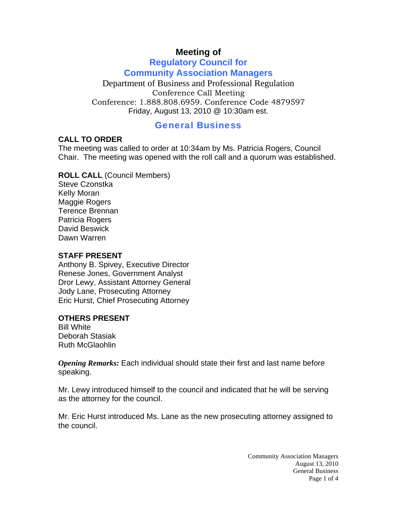# **Meeting of**

# **Regulatory Council for Community Association Managers**

Department of Business and Professional Regulation Conference Call Meeting Conference: 1.888.808.6959. Conference Code 4879597 Friday, August 13, 2010 @ 10:30am est.

# General Business

#### **CALL TO ORDER**

The meeting was called to order at 10:34am by Ms. Patricia Rogers, Council Chair. The meeting was opened with the roll call and a quorum was established.

**ROLL CALL** (Council Members)

Steve Czonstka Kelly Moran Maggie Rogers Terence Brennan Patricia Rogers David Beswick Dawn Warren

#### **STAFF PRESENT**

Anthony B. Spivey, Executive Director Renese Jones, Government Analyst Dror Lewy, Assistant Attorney General Jody Lane, Prosecuting Attorney Eric Hurst, Chief Prosecuting Attorney

# **OTHERS PRESENT**

Bill White Deborah Stasiak Ruth McGlaohlin

*Opening Remarks:* Each individual should state their first and last name before speaking.

Mr. Lewy introduced himself to the council and indicated that he will be serving as the attorney for the council.

Mr. Eric Hurst introduced Ms. Lane as the new prosecuting attorney assigned to the council.

> Community Association Managers August 13, 2010 General Business Page 1 of 4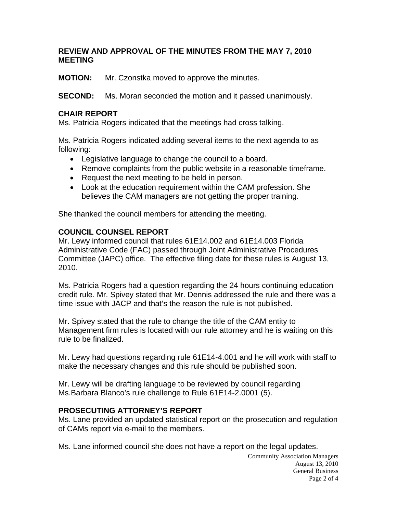#### **REVIEW AND APPROVAL OF THE MINUTES FROM THE MAY 7, 2010 MEETING**

**MOTION:** Mr. Czonstka moved to approve the minutes.

**SECOND:** Ms. Moran seconded the motion and it passed unanimously.

#### **CHAIR REPORT**

Ms. Patricia Rogers indicated that the meetings had cross talking.

Ms. Patricia Rogers indicated adding several items to the next agenda to as following:

- Legislative language to change the council to a board.
- Remove complaints from the public website in a reasonable timeframe.
- Request the next meeting to be held in person.
- Look at the education requirement within the CAM profession. She believes the CAM managers are not getting the proper training.

She thanked the council members for attending the meeting.

# **COUNCIL COUNSEL REPORT**

Mr. Lewy informed council that rules 61E14.002 and 61E14.003 Florida Administrative Code (FAC) passed through Joint Administrative Procedures Committee (JAPC) office. The effective filing date for these rules is August 13, 2010.

Ms. Patricia Rogers had a question regarding the 24 hours continuing education credit rule. Mr. Spivey stated that Mr. Dennis addressed the rule and there was a time issue with JACP and that's the reason the rule is not published.

Mr. Spivey stated that the rule to change the title of the CAM entity to Management firm rules is located with our rule attorney and he is waiting on this rule to be finalized.

Mr. Lewy had questions regarding rule 61E14-4.001 and he will work with staff to make the necessary changes and this rule should be published soon.

Mr. Lewy will be drafting language to be reviewed by council regarding Ms.Barbara Blanco's rule challenge to Rule 61E14-2.0001 (5).

# **PROSECUTING ATTORNEY'S REPORT**

Ms. Lane provided an updated statistical report on the prosecution and regulation of CAMs report via e-mail to the members.

Ms. Lane informed council she does not have a report on the legal updates.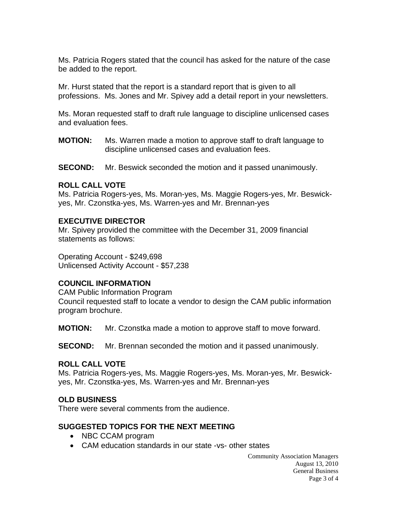Ms. Patricia Rogers stated that the council has asked for the nature of the case be added to the report.

Mr. Hurst stated that the report is a standard report that is given to all professions. Ms. Jones and Mr. Spivey add a detail report in your newsletters.

Ms. Moran requested staff to draft rule language to discipline unlicensed cases and evaluation fees.

**MOTION:** Ms. Warren made a motion to approve staff to draft language to discipline unlicensed cases and evaluation fees.

**SECOND:** Mr. Beswick seconded the motion and it passed unanimously.

# **ROLL CALL VOTE**

Ms. Patricia Rogers-yes, Ms. Moran-yes, Ms. Maggie Rogers-yes, Mr. Beswickyes, Mr. Czonstka-yes, Ms. Warren-yes and Mr. Brennan-yes

# **EXECUTIVE DIRECTOR**

Mr. Spivey provided the committee with the December 31, 2009 financial statements as follows:

Operating Account - \$249,698 Unlicensed Activity Account - \$57,238

# **COUNCIL INFORMATION**

CAM Public Information Program Council requested staff to locate a vendor to design the CAM public information program brochure.

**MOTION:** Mr. Czonstka made a motion to approve staff to move forward.

**SECOND:** Mr. Brennan seconded the motion and it passed unanimously.

#### **ROLL CALL VOTE**

Ms. Patricia Rogers-yes, Ms. Maggie Rogers-yes, Ms. Moran-yes, Mr. Beswickyes, Mr. Czonstka-yes, Ms. Warren-yes and Mr. Brennan-yes

# **OLD BUSINESS**

There were several comments from the audience.

#### **SUGGESTED TOPICS FOR THE NEXT MEETING**

- NBC CCAM program
- CAM education standards in our state -vs- other states

Community Association Managers August 13, 2010 General Business Page 3 of 4